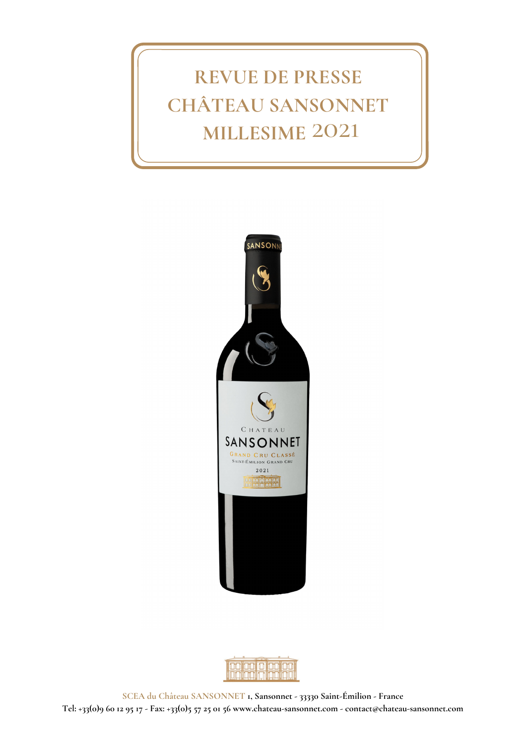# **REVUE DE PRESSE CHÂTEAU SANSONNET MILLESIME** 2021



|                               | י תחון הי |  |
|-------------------------------|-----------|--|
|                               |           |  |
| <u> John John John John J</u> |           |  |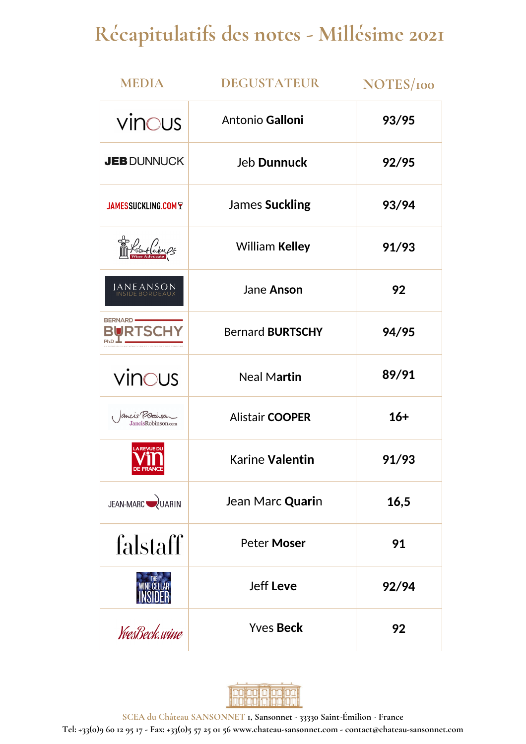# **Récapitulatifs des notes - Millésime 2021**

| <b>MEDIA</b>                         | <b>DEGUSTATEUR</b>      | NOTES/100 |
|--------------------------------------|-------------------------|-----------|
| vinous                               | Antonio Galloni         | 93/95     |
| <b>JEB DUNNUCK</b>                   | <b>Jeb Dunnuck</b>      | 92/95     |
| <b>JAMESSUCKLING.COM T</b>           | <b>James Suckling</b>   | 93/94     |
| Litsuf(ademp}<br>wine Advocate       | <b>William Kelley</b>   | 91/93     |
| <b>JANE ANSON</b>                    | Jane Anson              | 92        |
| <b>BERNARD</b> -<br><b>JRTSCH</b>    | <b>Bernard BURTSCHY</b> | 94/95     |
| vinous                               | <b>Neal Martin</b>      | 89/91     |
| ancis Kobinson<br>JancisRobinson.com | <b>Alistair COOPER</b>  | $16+$     |
| <b>LA REVUE DU</b>                   | Karine Valentin         | 91/93     |
| JEAN-MARC JUARIN                     | Jean Marc Quarin        | 16,5      |
| falstaff                             | <b>Peter Moser</b>      | 91        |
|                                      | Jeff Leve               | 92/94     |
| YvesBeck.wine                        | <b>Yves Beck</b>        | 92        |



**SCEA du Château SANSONNET 1, Sansonnet - 33330 Saint-Émilion - France Tel: +33(0)9 60 12 95 17 - Fax: +33(0)5 57 25 01 56 www.chateau-sansonnet.com - contact@chateau-sansonnet.com**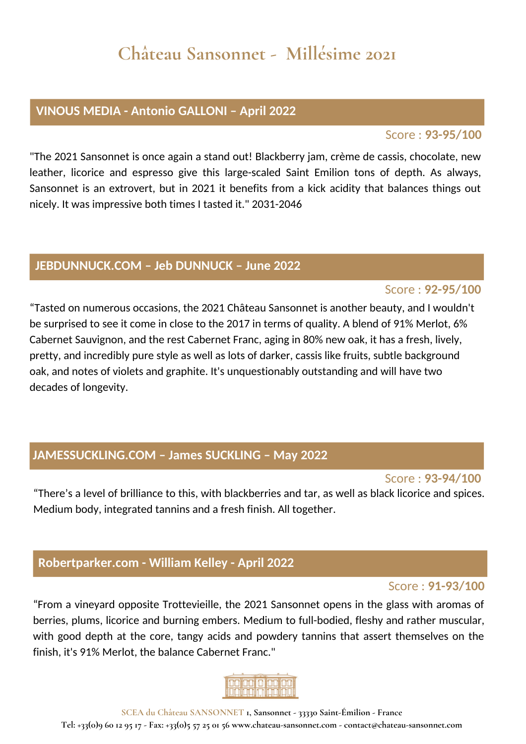### **Château Sansonnet - Millésime 2021**

#### **VINOUS MEDIA - Antonio GALLONI – April 2022**

#### Score : **93-95/100**

"The 2021 Sansonnet is once again a stand out! Blackberry jam, crème de cassis, chocolate, new leather, licorice and espresso give this large-scaled Saint Emilion tons of depth. As always, Sansonnet is an extrovert, but in 2021 it benefits from a kick acidity that balances things out nicely. It was impressive both times I tasted it." 2031-2046

#### **JEBDUNNUCK.COM – Jeb DUNNUCK – June 2022**

#### Score : **92-95/100**

"Tasted on numerous occasions, the 2021 Château Sansonnet is another beauty, and I wouldn't be surprised to see it come in close to the 2017 in terms of quality. A blend of 91% Merlot, 6% Cabernet Sauvignon, and the rest Cabernet Franc, aging in 80% new oak, it has a fresh, lively, pretty, and incredibly pure style as well as lots of darker, cassis like fruits, subtle background oak, and notes of violets and graphite. It's unquestionably outstanding and will have two decades of longevity.

#### **JAMESSUCKLING.COM – James SUCKLING – May 2022**

#### Score : **93-94/100**

"There's a level of brilliance to this, with blackberries and tar, as well as black licorice and spices. Medium body, integrated tannins and a fresh finish. All together.

#### **Robertparker.com - William Kelley - April 2022**

#### Score : **91-93/100**

"From a vineyard opposite Trottevieille, the 2021 Sansonnet opens in the glass with aromas of berries, plums, licorice and burning embers. Medium to full-bodied, fleshy and rather muscular, with good depth at the core, tangy acids and powdery tannins that assert themselves on the finish, it's 91% Merlot, the balance Cabernet Franc."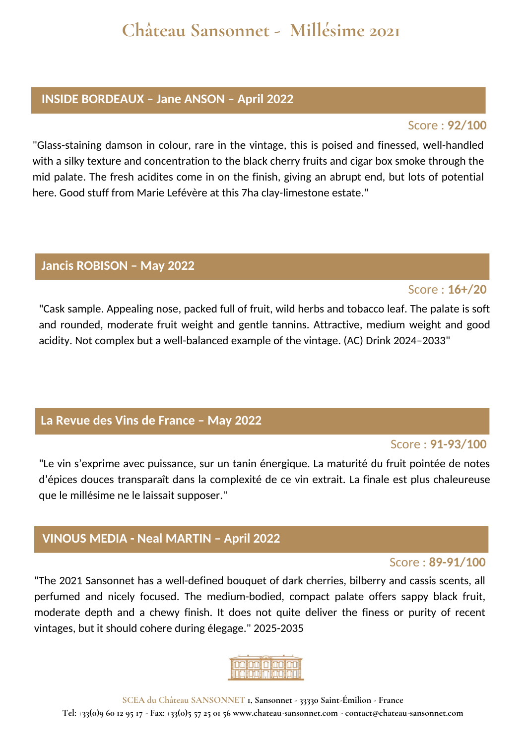### **Château Sansonnet - Millésime 2021**

#### **INSIDE BORDEAUX – Jane ANSON – April 2022**

#### Score : **92/100**

"Glass-staining damson in colour, rare in the vintage, this is poised and finessed, well-handled with a silky texture and concentration to the black cherry fruits and cigar box smoke through the mid palate. The fresh acidites come in on the finish, giving an abrupt end, but lots of potential here. Good stuff from Marie Lefévère at this 7ha clay-limestone estate."

#### **Jancis ROBISON – May 2022**

#### Score : **16+/20**

"Cask sample. Appealing nose, packed full of fruit, wild herbs and tobacco leaf. The palate is soft and rounded, moderate fruit weight and gentle tannins. Attractive, medium weight and good acidity. Not complex but a well-balanced example of the vintage. (AC) Drink 2024–2033"

#### **La Revue des Vins de France – May 2022**

#### Score : **91-93/100**

"Le vin s'exprime avec puissance, sur un tanin énergique. La maturité du fruit pointée de notes d'épices douces transparaît dans la complexité de ce vin extrait. La finale est plus chaleureuse que le millésime ne le laissait supposer."

#### **VINOUS MEDIA - Neal MARTIN – April 2022**

#### Score : **89-91/100**

"The 2021 Sansonnet has a well-defined bouquet of dark cherries, bilberry and cassis scents, all perfumed and nicely focused. The medium-bodied, compact palate offers sappy black fruit, moderate depth and a chewy finish. It does not quite deliver the finess or purity of recent vintages, but it should cohere during élegage." 2025-2035